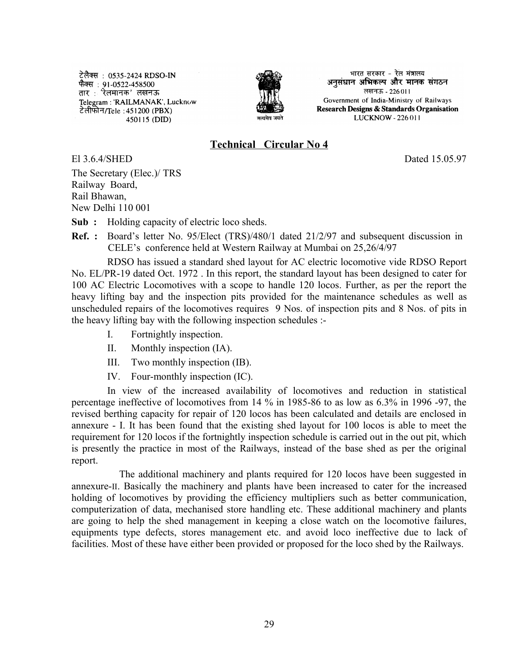टेलैक्स : 0535-2424 RDSO-IN करीय : 9555 - 121 1055<br>फैक्स : 91-0522-458500<br>तार : 'रेलमानक' लखनऊ Telegram: 'RAILMANAK', Lucknow टेलीफोन/Tele: 451200 (PBX) 450115 (DID)



भारत सरकार - रेल मंत्रालय अनुसंधान अभिकल्प और मानक संगठन लखनऊ - 226011 Government of India-Ministry of Railways Research Designs & Standards Organisation LUCKNOW - 226 011

### **Technical Circular No 4**

El 3.6.4/SHED Dated 15.05.97

The Secretary (Elec.)/ TRS Railway Board, Rail Bhawan, New Delhi 110 001

**Sub :** Holding capacity of electric loco sheds.

**Ref. :** Board's letter No. 95/Elect (TRS)/480/1 dated 21/2/97 and subsequent discussion in CELE's conference held at Western Railway at Mumbai on 25,26/4/97

RDSO has issued a standard shed layout for AC electric locomotive vide RDSO Report No. EL/PR-19 dated Oct. 1972 . In this report, the standard layout has been designed to cater for 100 AC Electric Locomotives with a scope to handle 120 locos. Further, as per the report the heavy lifting bay and the inspection pits provided for the maintenance schedules as well as unscheduled repairs of the locomotives requires 9 Nos. of inspection pits and 8 Nos. of pits in the heavy lifting bay with the following inspection schedules :-

- I. Fortnightly inspection.
- II. Monthly inspection (IA).
- III. Two monthly inspection (IB).
- IV. Four-monthly inspection (IC).

In view of the increased availability of locomotives and reduction in statistical percentage ineffective of locomotives from 14 % in 1985-86 to as low as 6.3% in 1996 -97, the revised berthing capacity for repair of 120 locos has been calculated and details are enclosed in annexure - I. It has been found that the existing shed layout for 100 locos is able to meet the requirement for 120 locos if the fortnightly inspection schedule is carried out in the out pit, which is presently the practice in most of the Railways, instead of the base shed as per the original report.

The additional machinery and plants required for 120 locos have been suggested in annexure-II. Basically the machinery and plants have been increased to cater for the increased holding of locomotives by providing the efficiency multipliers such as better communication, computerization of data, mechanised store handling etc. These additional machinery and plants are going to help the shed management in keeping a close watch on the locomotive failures, equipments type defects, stores management etc. and avoid loco ineffective due to lack of facilities. Most of these have either been provided or proposed for the loco shed by the Railways.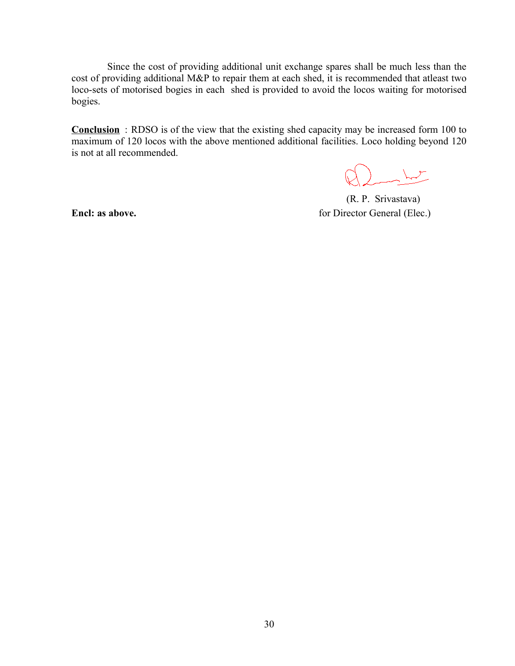Since the cost of providing additional unit exchange spares shall be much less than the cost of providing additional M&P to repair them at each shed, it is recommended that atleast two loco-sets of motorised bogies in each shed is provided to avoid the locos waiting for motorised bogies.

**Conclusion** : RDSO is of the view that the existing shed capacity may be increased form 100 to maximum of 120 locos with the above mentioned additional facilities. Loco holding beyond 120 is not at all recommended.

 $\begin{pmatrix} 1 & 1 \\ 1 & 1 \end{pmatrix}$ 

 (R. P. Srivastava) **Encl: as above. for Director General (Elec.)**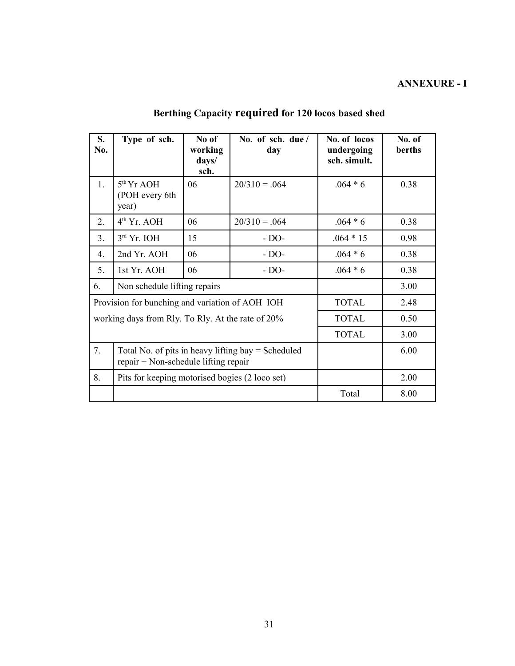## **ANNEXURE - I**

| S.<br>No.                                         | Type of sch.                                                                                 | No of<br>working<br>days/<br>sch. | No. of sch. due /<br>day | No. of locos<br>undergoing<br>sch. simult. | No. of<br>berths |
|---------------------------------------------------|----------------------------------------------------------------------------------------------|-----------------------------------|--------------------------|--------------------------------------------|------------------|
| 1.                                                | $5th$ Yr AOH<br>(POH every 6th<br>year)                                                      | 06                                | $20/310 = .064$          | $.064 * 6$                                 | 0.38             |
| 2.                                                | $4th$ Yr. AOH                                                                                | 06                                | $20/310 = .064$          | $.064 * 6$                                 | 0.38             |
| 3.                                                | $3rd$ Yr. IOH                                                                                | 15                                | $- DO-$                  | $.064 * 15$                                | 0.98             |
| $4_{\cdot}$                                       | 2nd Yr. AOH                                                                                  | 06                                | $- DO-$                  | $.064 * 6$                                 | 0.38             |
| 5.                                                | 1st Yr. AOH                                                                                  | 06                                | $- DO-$                  | $.064 * 6$                                 | 0.38             |
| Non schedule lifting repairs<br>6.                |                                                                                              |                                   |                          |                                            | 3.00             |
| Provision for bunching and variation of AOH IOH   |                                                                                              |                                   |                          | <b>TOTAL</b>                               | 2.48             |
| working days from Rly. To Rly. At the rate of 20% |                                                                                              |                                   |                          | <b>TOTAL</b>                               | 0.50             |
|                                                   |                                                                                              |                                   |                          | <b>TOTAL</b>                               | 3.00             |
| 7.                                                | Total No. of pits in heavy lifting $bay = Scheduled$<br>repair + Non-schedule lifting repair |                                   |                          |                                            | 6.00             |
| 8.                                                | Pits for keeping motorised bogies (2 loco set)                                               |                                   |                          |                                            | 2.00             |
|                                                   |                                                                                              |                                   |                          | Total                                      | 8.00             |

# **Berthing Capacity required for 120 locos based shed**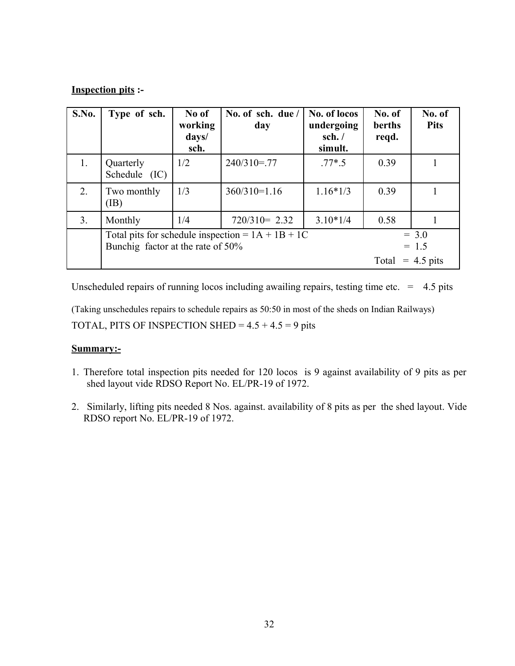#### **Inspection pits :-**

| <b>S.No.</b>   | Type of sch.                                                                             | No of<br>working<br>days/<br>sch. | No. of sch. due /<br>day | No. of locos<br>undergoing<br>sch. $/$<br>simult. | No. of<br>berths<br>reqd. | No. of<br><b>Pits</b> |
|----------------|------------------------------------------------------------------------------------------|-----------------------------------|--------------------------|---------------------------------------------------|---------------------------|-----------------------|
| 1.             | Quarterly<br>Schedule (IC)                                                               | 1/2                               | $240/310 = 77$           | $.77*$ .5                                         | 0.39                      |                       |
| 2.             | Two monthly<br>$(\mathbf{IB})$                                                           | 1/3                               | $360/310=1.16$           | $1.16*1/3$                                        | 0.39                      |                       |
| 3 <sub>1</sub> | Monthly                                                                                  | 1/4                               | $720/310 = 2.32$         | $3.10*1/4$                                        | 0.58                      |                       |
|                | Total pits for schedule inspection = $1A + 1B + 1C$<br>Bunchig factor at the rate of 50% |                                   |                          | $= 3.0$<br>$= 1.5$                                |                           |                       |
|                |                                                                                          |                                   |                          |                                                   | Total                     | $= 4.5 \text{ pits}$  |

Unscheduled repairs of running locos including awailing repairs, testing time etc.  $= 4.5$  pits

(Taking unschedules repairs to schedule repairs as 50:50 in most of the sheds on Indian Railways) TOTAL, PITS OF INSPECTION SHED =  $4.5 + 4.5 = 9$  pits

#### **Summary:-**

- 1. Therefore total inspection pits needed for 120 locos is 9 against availability of 9 pits as per shed layout vide RDSO Report No. EL/PR-19 of 1972.
- 2. Similarly, lifting pits needed 8 Nos. against. availability of 8 pits as per the shed layout. Vide RDSO report No. EL/PR-19 of 1972.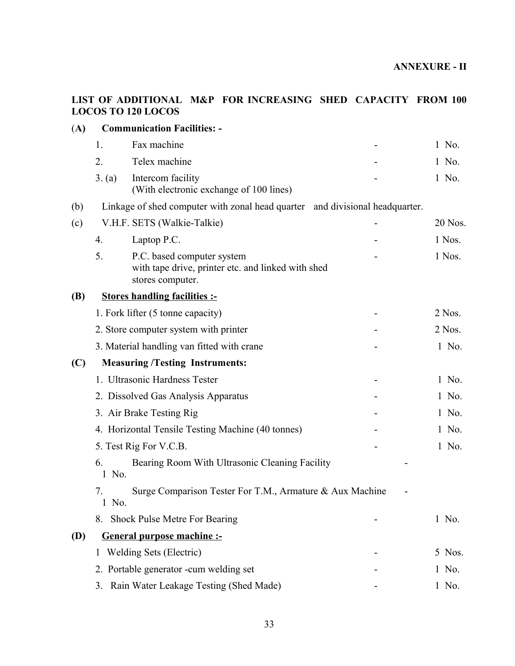#### **LIST OF ADDITIONAL M&P FOR INCREASING SHED CAPACITY FROM 100 LOCOS TO 120 LOCOS**

| (A)        |                                        | <b>Communication Facilities: -</b>                                                                   |  |         |  |  |
|------------|----------------------------------------|------------------------------------------------------------------------------------------------------|--|---------|--|--|
|            | 1.                                     | Fax machine                                                                                          |  | 1 No.   |  |  |
|            | 2.                                     | Telex machine                                                                                        |  | 1 No.   |  |  |
|            | 3. (a)                                 | Intercom facility<br>(With electronic exchange of 100 lines)                                         |  | 1 No.   |  |  |
| (b)        |                                        | Linkage of shed computer with zonal head quarter and divisional headquarter.                         |  |         |  |  |
| (c)        | V.H.F. SETS (Walkie-Talkie)            |                                                                                                      |  | 20 Nos. |  |  |
|            | 4.                                     | Laptop P.C.                                                                                          |  | 1 Nos.  |  |  |
|            | 5.                                     | P.C. based computer system<br>with tape drive, printer etc. and linked with shed<br>stores computer. |  | 1 Nos.  |  |  |
| <b>(B)</b> | <b>Stores handling facilities :-</b>   |                                                                                                      |  |         |  |  |
|            |                                        | 1. Fork lifter (5 tonne capacity)                                                                    |  | 2 Nos.  |  |  |
|            |                                        | 2. Store computer system with printer                                                                |  | 2 Nos.  |  |  |
|            |                                        | 3. Material handling van fitted with crane                                                           |  | 1 No.   |  |  |
| (C)        | <b>Measuring /Testing Instruments:</b> |                                                                                                      |  |         |  |  |
|            |                                        | 1. Ultrasonic Hardness Tester                                                                        |  | 1 No.   |  |  |
|            |                                        | 2. Dissolved Gas Analysis Apparatus                                                                  |  | 1 No.   |  |  |
|            |                                        | 3. Air Brake Testing Rig                                                                             |  | 1 No.   |  |  |
|            |                                        | 4. Horizontal Tensile Testing Machine (40 tonnes)                                                    |  | 1 No.   |  |  |
|            |                                        | 5. Test Rig For V.C.B.                                                                               |  | 1 No.   |  |  |
|            | 6.<br>1 No.                            | Bearing Room With Ultrasonic Cleaning Facility                                                       |  |         |  |  |
|            | 7.<br>1 No.                            | Surge Comparison Tester For T.M., Armature & Aux Machine                                             |  |         |  |  |
|            |                                        | 8. Shock Pulse Metre For Bearing                                                                     |  | 1 No.   |  |  |
| <b>(D)</b> |                                        | <b>General purpose machine :-</b>                                                                    |  |         |  |  |
|            |                                        | Welding Sets (Electric)                                                                              |  | 5 Nos.  |  |  |
|            |                                        | 2. Portable generator -cum welding set                                                               |  | 1 No.   |  |  |
|            | 3.                                     | Rain Water Leakage Testing (Shed Made)                                                               |  | 1 No.   |  |  |